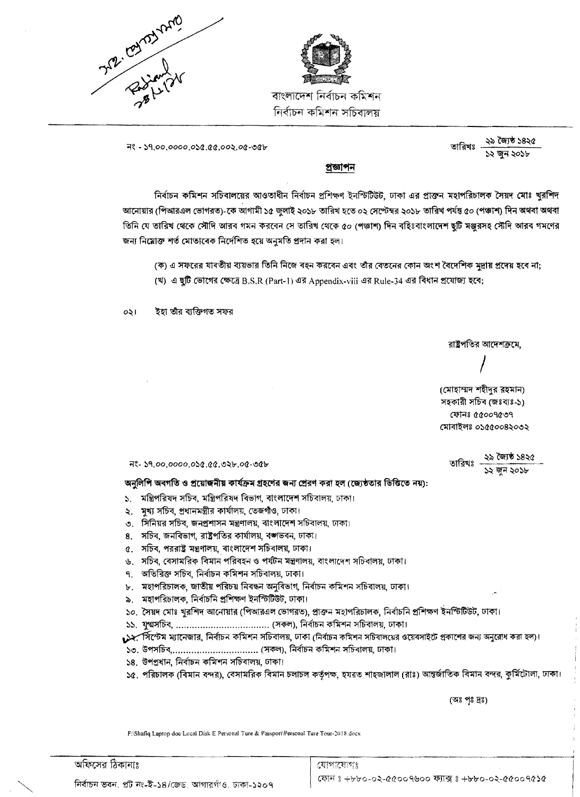



বাংলাদেশ নিৰ্বাচন কমিশন নিৰ্বাচন কমিশন সচিবালয়

 $78 - 59.00.0000.058.88.002.08 - 98$ 

২৯ জ্যৈষ্ঠ ১৪২৫ তারিখঃ ১২ জুন ২০১৮

## প্ৰজ্ঞাপন

নির্বাচন কমিশন সচিবালয়ের আওতাধীন নির্বাচন প্রশিক্ষণ ইনস্টিটিউট, ঢাকা এর প্রাক্তন মহাপরিচালক সৈয়দ মোঃ খুরশিদ আনোয়ার (পিআরএল ভোগরত)-কে আগামী ১৫ জুলাই ২০১৮ তারিখ হতে ০২ সেপ্টেম্বর ২০১৮ তারিখ পর্যন্ত ৫০ (পঞ্চাশ) দিন অথবা অথবা তিনি যে তারিখ থেকে সৌদি আরব গমন করবেন সে তারিখ থেকে ৫০ (পঞ্চাশ) দিন বহিঃবাংলাদেশ ছুটি মঞ্জুরসহ সৌদি আরব গমণের জন্য নিয়োক্ত শর্ত মোতাবেক নির্দেশিত হয়ে অনুমতি প্রদান করা হল।

(ক) এ সফরের যাবতীয় ব্যয়ভার তিনি নিজে বহন করবেন এবং তাঁর বেতনের কোন অংশ বৈদেশিক মুদ্রায় প্রদেয় হবে না;

(খ) এ ছুটি ভোগের ক্ষেত্রে B.S.R (Part-1) এর Appendix-viii এর Rule-34 এর বিধান প্রযোজ্য হবে;

ইহা তাঁর ব্যক্তিগত সফর  $031$ 

রাষ্ট্রপতির আদেশক্রমে,

(মোহাম্মদ শহীদুর রহমান) সহকারী সচিব (জঃব্যঃ-১) ফোনঃ ৫৫০০৭৫৩৭ মোবাইলঃ ০১৫৫০০৪২০৩২

তারিখঃ ২৯ জ্যৈষ্ঠ ১৪২৫<br> ১২ জন ২০১৮

অনুলিপি অবগতি ও প্রয়োজনীয় কার্যক্রম গ্রহণের জন্য প্রেরণ করা হল (জ্যেষ্ঠতার ভিত্তিতে নয়):

- ১. মন্ত্রিপরিষদ সচিব, মন্ত্রিপরিষদ বিভাগ, বাংলাদেশ সচিবালয়, ঢাকা।
- ২. মুখ্য সচিব, প্রধানমন্ত্রীর কার্যালয়, তেজগাঁও, ঢাকা।
- ৩. সিনিয়র সচিব, জনপ্রশাসন মন্ত্রণালয়, বাংলাদেশ সচিবালয়, ঢাকা।
- ৪. সচিব, জনবিভাগ, রাষ্ট্রপতির কার্যালয়, বঙ্গভবন, ঢাকা।
- ৫. সচিব, পররাষ্ট্র মন্ত্রণালয়, বাংলাদেশ সচিবালয়, ঢাকা।
- ৬. সচিব, বেসামরিক বিমান পরিবহন ও পর্যটন মন্ত্রণালয়, বাংলাদেশ সচিবালয়, ঢাকা।
- ৭. অতিরিক্ত সচিব, নির্বাচন কমিশন সচিবালয়, ঢাকা।
- ৮. মহাপরিচালক, জাতীয় পরিচয় নিবন্ধন অনুবিভাগ, নির্বাচন কমিশন সচিবালয়, ঢাকা।
- ৯. মহাপরিচালক, নির্বাচনি প্রশিক্ষণ ইনস্টিটিউট, ঢাকা।
- ১০. সৈয়দ মোঃ খুরশিদ আনোয়ার (পিআরএল ভোগরত), প্রাক্তন মহাপরিচালক, নির্বাচনি প্রশিক্ষণ ইনস্টিটিউট, ঢাকা।
- 
- ্রিসিস্টেম ম্যানেজার, নির্বাচন কমিশন সচিবালয়, ঢাকা (নির্বাচন কমিশন সচিবালয়ের ওয়েবসাইটে প্রকাশের জন্য অনুরোধ করা হল)।
- ১৩. উপসচিব,.................................. (সকল), নির্বাচন কমিশন সচিবালয়, ঢাকা।
- ১৪. উপপ্রধান, নির্বাচন কমিশন সচিবালয়, ঢাকা।
- ১৫. পরিচালক (বিমান বন্দর), বেসামরিক বিমান চলাচল কর্তৃপক্ষ, হযরত শাহজালাল (রাঃ) আন্তর্জাতিক বিমান বন্দর, কুর্মিটোলা, ঢাকা।

(অঃ পৃঃ দ্রঃ)

F:\Shafiq Laptop doc\Local Disk E Personal Ture & Passport\Personal Ture Tour-2018.docx

অফিসের ঠিকানাঃ

যোগাযোগঃ জোন ঃ +৮৮০-০২-৫৫০০৭৬০০ ফ্যাক্স ঃ +৮৮০-০২-৫৫০০৭৫১৫

নির্বাচন ভবন, প্রট নং-ই-১৪/জেড আগারগাঁও, ঢাকা-১২০৭